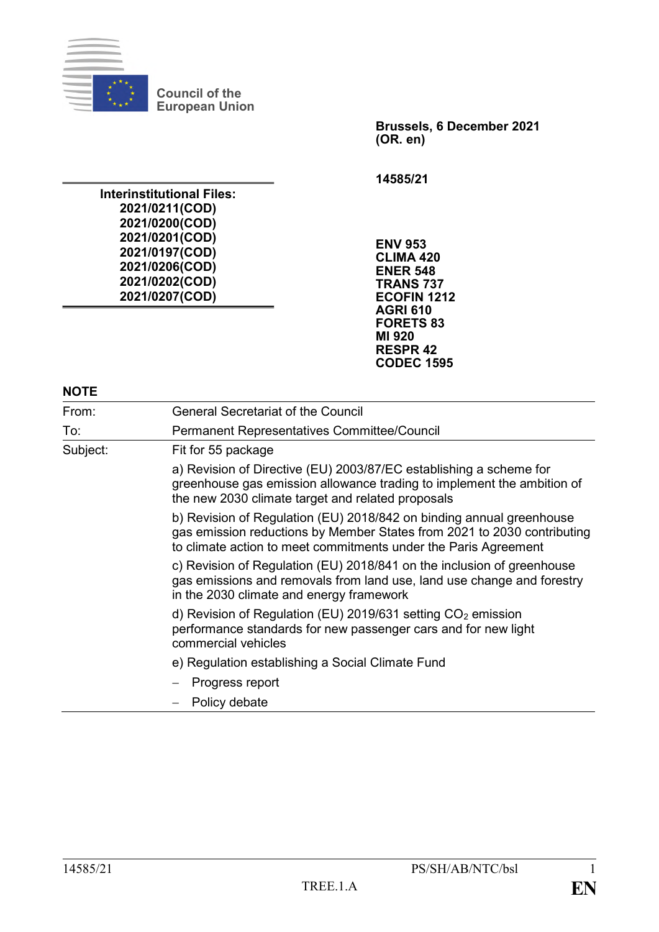

**Council of the European Union**

**Interinstitutional Files: 2021/0211(COD) 2021/0200(COD) 2021/0201(COD) 2021/0197(COD) 2021/0206(COD) 2021/0202(COD) 2021/0207(COD)**

**Brussels, 6 December 2021 (OR. en)**

**14585/21**

**ENV 953 CLIMA 420 ENER 548 TRANS 737 ECOFIN 1212 AGRI 610 FORETS 83 MI 920 RESPR 42 CODEC 1595**

| From:    | <b>General Secretariat of the Council</b>                                                                                                                                                                          |  |  |
|----------|--------------------------------------------------------------------------------------------------------------------------------------------------------------------------------------------------------------------|--|--|
| To:      | <b>Permanent Representatives Committee/Council</b>                                                                                                                                                                 |  |  |
| Subject: | Fit for 55 package                                                                                                                                                                                                 |  |  |
|          | a) Revision of Directive (EU) 2003/87/EC establishing a scheme for<br>greenhouse gas emission allowance trading to implement the ambition of<br>the new 2030 climate target and related proposals                  |  |  |
|          | b) Revision of Regulation (EU) 2018/842 on binding annual greenhouse<br>gas emission reductions by Member States from 2021 to 2030 contributing<br>to climate action to meet commitments under the Paris Agreement |  |  |
|          | c) Revision of Regulation (EU) 2018/841 on the inclusion of greenhouse<br>gas emissions and removals from land use, land use change and forestry<br>in the 2030 climate and energy framework                       |  |  |
|          | d) Revision of Regulation (EU) 2019/631 setting $CO2$ emission<br>performance standards for new passenger cars and for new light<br>commercial vehicles                                                            |  |  |
|          | e) Regulation establishing a Social Climate Fund                                                                                                                                                                   |  |  |
|          | Progress report                                                                                                                                                                                                    |  |  |
|          | Policy debate                                                                                                                                                                                                      |  |  |

1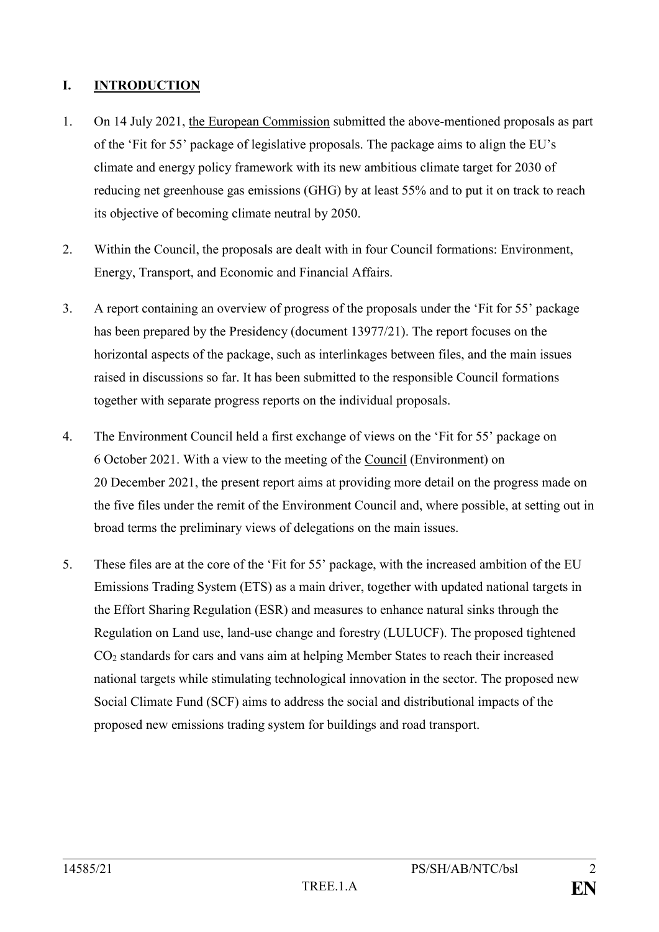# **I. INTRODUCTION**

- 1. On 14 July 2021, the European Commission submitted the above-mentioned proposals as part of the 'Fit for 55' package of legislative proposals. The package aims to align the EU's climate and energy policy framework with its new ambitious climate target for 2030 of reducing net greenhouse gas emissions (GHG) by at least 55% and to put it on track to reach its objective of becoming climate neutral by 2050.
- 2. Within the Council, the proposals are dealt with in four Council formations: Environment, Energy, Transport, and Economic and Financial Affairs.
- 3. A report containing an overview of progress of the proposals under the 'Fit for 55' package has been prepared by the Presidency (document 13977/21). The report focuses on the horizontal aspects of the package, such as interlinkages between files, and the main issues raised in discussions so far. It has been submitted to the responsible Council formations together with separate progress reports on the individual proposals.
- 4. The Environment Council held a first exchange of views on the 'Fit for 55' package on 6 October 2021. With a view to the meeting of the Council (Environment) on 20 December 2021, the present report aims at providing more detail on the progress made on the five files under the remit of the Environment Council and, where possible, at setting out in broad terms the preliminary views of delegations on the main issues.
- 5. These files are at the core of the 'Fit for 55' package, with the increased ambition of the EU Emissions Trading System (ETS) as a main driver, together with updated national targets in the Effort Sharing Regulation (ESR) and measures to enhance natural sinks through the Regulation on Land use, land-use change and forestry (LULUCF). The proposed tightened CO<sup>2</sup> standards for cars and vans aim at helping Member States to reach their increased national targets while stimulating technological innovation in the sector. The proposed new Social Climate Fund (SCF) aims to address the social and distributional impacts of the proposed new emissions trading system for buildings and road transport.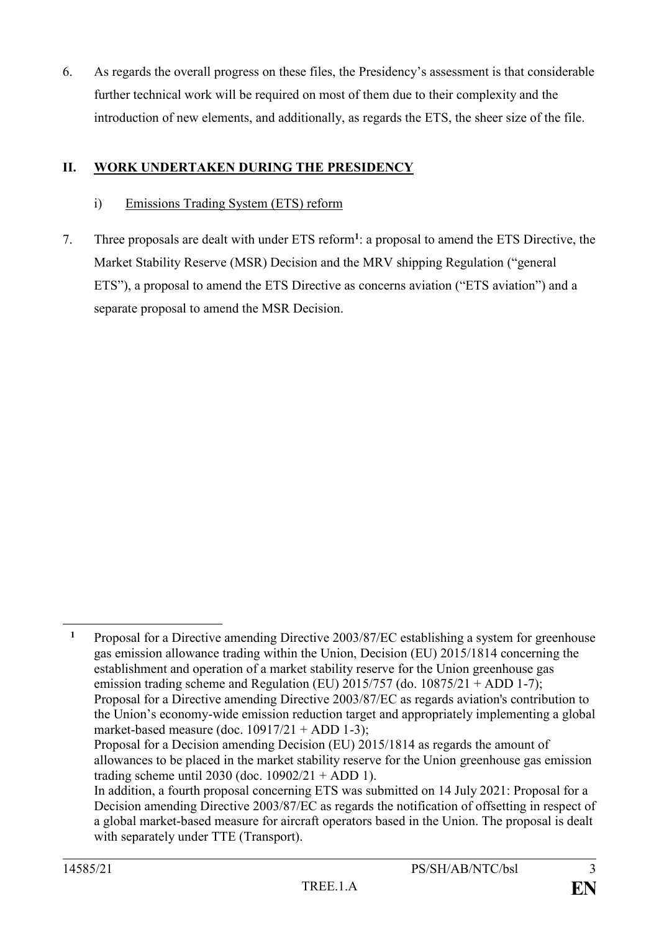6. As regards the overall progress on these files, the Presidency's assessment is that considerable further technical work will be required on most of them due to their complexity and the introduction of new elements, and additionally, as regards the ETS, the sheer size of the file.

## **II. WORK UNDERTAKEN DURING THE PRESIDENCY**

#### i) Emissions Trading System (ETS) reform

7. Three proposals are dealt with under ETS reform**<sup>1</sup>** : a proposal to amend the ETS Directive, the Market Stability Reserve (MSR) Decision and the MRV shipping Regulation ("general ETS"), a proposal to amend the ETS Directive as concerns aviation ("ETS aviation") and a separate proposal to amend the MSR Decision.

1

**<sup>1</sup>** Proposal for a Directive amending Directive 2003/87/EC establishing a system for greenhouse gas emission allowance trading within the Union, Decision (EU) 2015/1814 concerning the establishment and operation of a market stability reserve for the Union greenhouse gas emission trading scheme and Regulation (EU)  $2015/757$  (do.  $10875/21 + ADD 1-7$ ); Proposal for a Directive amending Directive 2003/87/EC as regards aviation's contribution to the Union's economy-wide emission reduction target and appropriately implementing a global market-based measure (doc.  $10917/21 + ADD 1-3$ ); Proposal for a Decision amending Decision (EU) 2015/1814 as regards the amount of allowances to be placed in the market stability reserve for the Union greenhouse gas emission trading scheme until 2030 (doc.  $10902/21 + ADD 1$ ). In addition, a fourth proposal concerning ETS was submitted on 14 July 2021: Proposal for a Decision amending Directive 2003/87/EC as regards the notification of offsetting in respect of a global market-based measure for aircraft operators based in the Union. The proposal is dealt

with separately under TTE (Transport).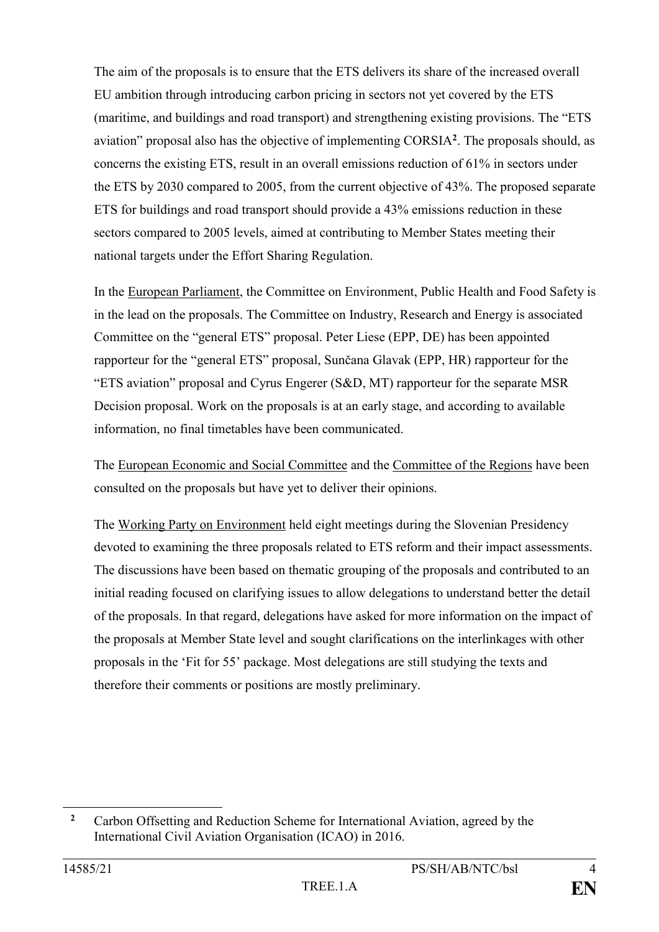The aim of the proposals is to ensure that the ETS delivers its share of the increased overall EU ambition through introducing carbon pricing in sectors not yet covered by the ETS (maritime, and buildings and road transport) and strengthening existing provisions. The "ETS aviation" proposal also has the objective of implementing CORSIA**<sup>2</sup>** . The proposals should, as concerns the existing ETS, result in an overall emissions reduction of 61% in sectors under the ETS by 2030 compared to 2005, from the current objective of 43%. The proposed separate ETS for buildings and road transport should provide a 43% emissions reduction in these sectors compared to 2005 levels, aimed at contributing to Member States meeting their national targets under the Effort Sharing Regulation.

In the European Parliament, the Committee on Environment, Public Health and Food Safety is in the lead on the proposals. The Committee on Industry, Research and Energy is associated Committee on the "general ETS" proposal. Peter Liese (EPP, DE) has been appointed rapporteur for the "general ETS" proposal, Sunčana Glavak (EPP, HR) rapporteur for the "ETS aviation" proposal and Cyrus Engerer (S&D, MT) rapporteur for the separate MSR Decision proposal. Work on the proposals is at an early stage, and according to available information, no final timetables have been communicated.

The European Economic and Social Committee and the Committee of the Regions have been consulted on the proposals but have yet to deliver their opinions.

The Working Party on Environment held eight meetings during the Slovenian Presidency devoted to examining the three proposals related to ETS reform and their impact assessments. The discussions have been based on thematic grouping of the proposals and contributed to an initial reading focused on clarifying issues to allow delegations to understand better the detail of the proposals. In that regard, delegations have asked for more information on the impact of the proposals at Member State level and sought clarifications on the interlinkages with other proposals in the 'Fit for 55' package. Most delegations are still studying the texts and therefore their comments or positions are mostly preliminary.

1

**<sup>2</sup>** Carbon Offsetting and Reduction Scheme for International Aviation, agreed by the International Civil Aviation Organisation (ICAO) in 2016.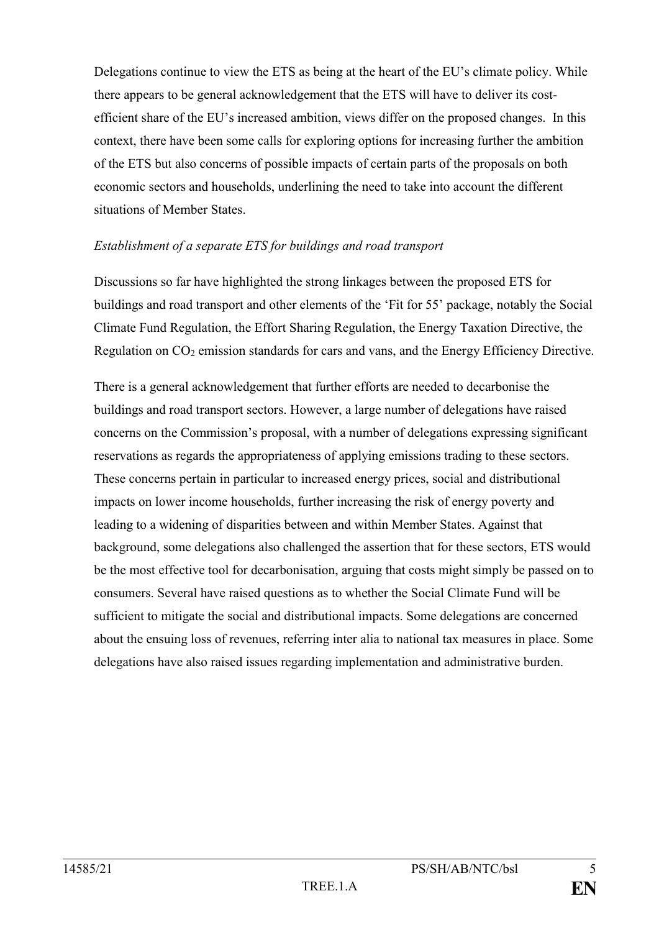Delegations continue to view the ETS as being at the heart of the EU's climate policy. While there appears to be general acknowledgement that the ETS will have to deliver its costefficient share of the EU's increased ambition, views differ on the proposed changes. In this context, there have been some calls for exploring options for increasing further the ambition of the ETS but also concerns of possible impacts of certain parts of the proposals on both economic sectors and households, underlining the need to take into account the different situations of Member States.

### *Establishment of a separate ETS for buildings and road transport*

Discussions so far have highlighted the strong linkages between the proposed ETS for buildings and road transport and other elements of the 'Fit for 55' package, notably the Social Climate Fund Regulation, the Effort Sharing Regulation, the Energy Taxation Directive, the Regulation on  $CO<sub>2</sub>$  emission standards for cars and vans, and the Energy Efficiency Directive.

There is a general acknowledgement that further efforts are needed to decarbonise the buildings and road transport sectors. However, a large number of delegations have raised concerns on the Commission's proposal, with a number of delegations expressing significant reservations as regards the appropriateness of applying emissions trading to these sectors. These concerns pertain in particular to increased energy prices, social and distributional impacts on lower income households, further increasing the risk of energy poverty and leading to a widening of disparities between and within Member States. Against that background, some delegations also challenged the assertion that for these sectors, ETS would be the most effective tool for decarbonisation, arguing that costs might simply be passed on to consumers. Several have raised questions as to whether the Social Climate Fund will be sufficient to mitigate the social and distributional impacts. Some delegations are concerned about the ensuing loss of revenues, referring inter alia to national tax measures in place. Some delegations have also raised issues regarding implementation and administrative burden.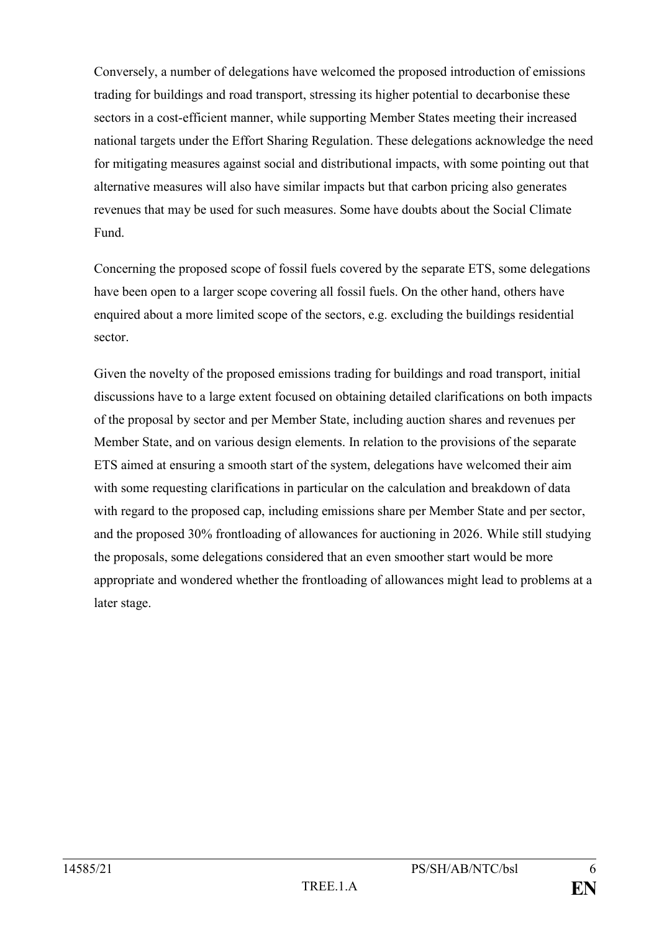Conversely, a number of delegations have welcomed the proposed introduction of emissions trading for buildings and road transport, stressing its higher potential to decarbonise these sectors in a cost-efficient manner, while supporting Member States meeting their increased national targets under the Effort Sharing Regulation. These delegations acknowledge the need for mitigating measures against social and distributional impacts, with some pointing out that alternative measures will also have similar impacts but that carbon pricing also generates revenues that may be used for such measures. Some have doubts about the Social Climate Fund.

Concerning the proposed scope of fossil fuels covered by the separate ETS, some delegations have been open to a larger scope covering all fossil fuels. On the other hand, others have enquired about a more limited scope of the sectors, e.g. excluding the buildings residential sector.

Given the novelty of the proposed emissions trading for buildings and road transport, initial discussions have to a large extent focused on obtaining detailed clarifications on both impacts of the proposal by sector and per Member State, including auction shares and revenues per Member State, and on various design elements. In relation to the provisions of the separate ETS aimed at ensuring a smooth start of the system, delegations have welcomed their aim with some requesting clarifications in particular on the calculation and breakdown of data with regard to the proposed cap, including emissions share per Member State and per sector, and the proposed 30% frontloading of allowances for auctioning in 2026. While still studying the proposals, some delegations considered that an even smoother start would be more appropriate and wondered whether the frontloading of allowances might lead to problems at a later stage.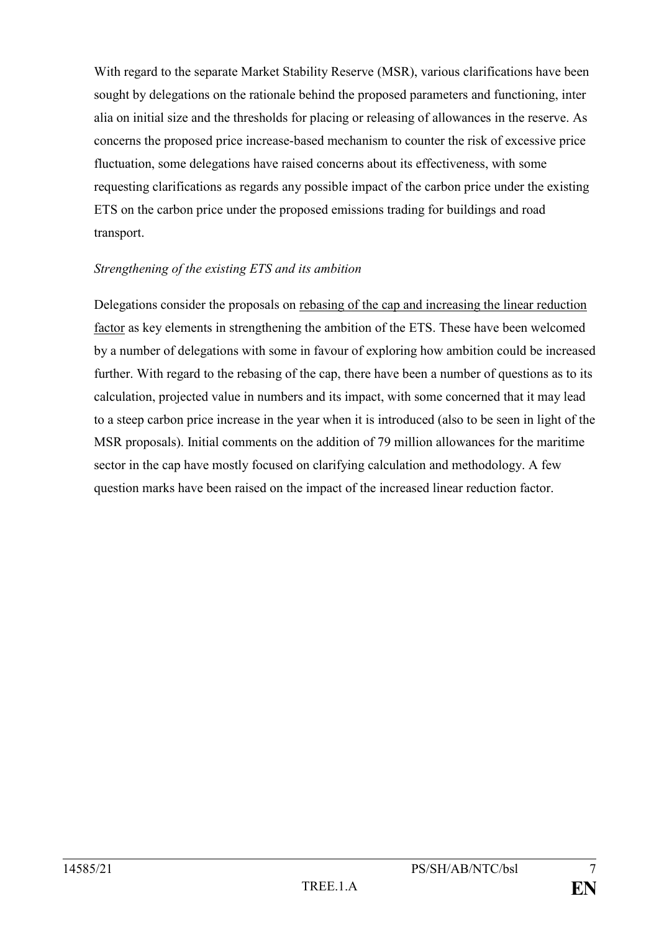With regard to the separate Market Stability Reserve (MSR), various clarifications have been sought by delegations on the rationale behind the proposed parameters and functioning, inter alia on initial size and the thresholds for placing or releasing of allowances in the reserve. As concerns the proposed price increase-based mechanism to counter the risk of excessive price fluctuation, some delegations have raised concerns about its effectiveness, with some requesting clarifications as regards any possible impact of the carbon price under the existing ETS on the carbon price under the proposed emissions trading for buildings and road transport.

#### *Strengthening of the existing ETS and its ambition*

Delegations consider the proposals on rebasing of the cap and increasing the linear reduction factor as key elements in strengthening the ambition of the ETS. These have been welcomed by a number of delegations with some in favour of exploring how ambition could be increased further. With regard to the rebasing of the cap, there have been a number of questions as to its calculation, projected value in numbers and its impact, with some concerned that it may lead to a steep carbon price increase in the year when it is introduced (also to be seen in light of the MSR proposals). Initial comments on the addition of 79 million allowances for the maritime sector in the cap have mostly focused on clarifying calculation and methodology. A few question marks have been raised on the impact of the increased linear reduction factor.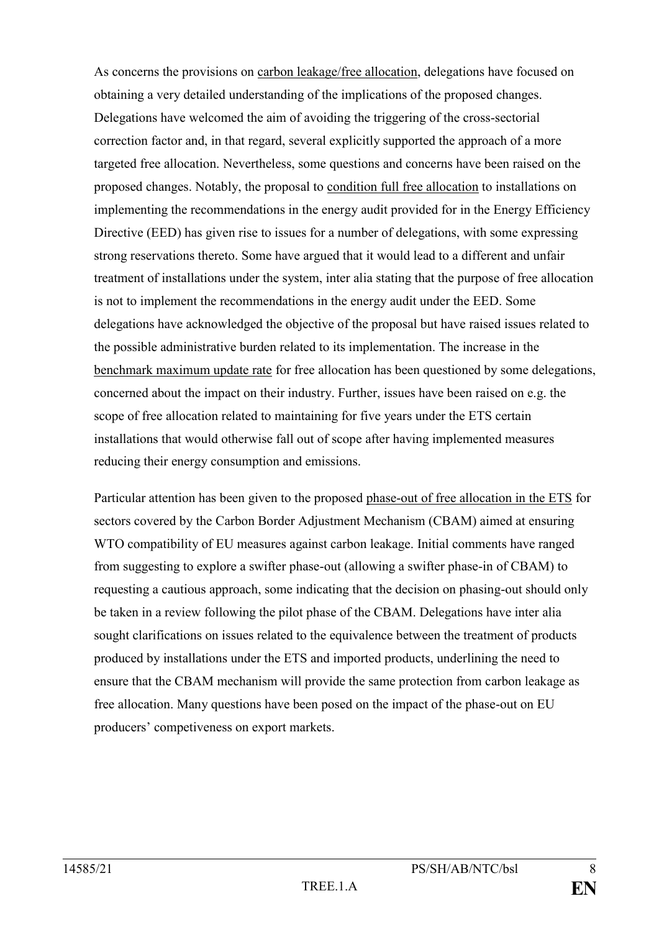As concerns the provisions on carbon leakage/free allocation, delegations have focused on obtaining a very detailed understanding of the implications of the proposed changes. Delegations have welcomed the aim of avoiding the triggering of the cross-sectorial correction factor and, in that regard, several explicitly supported the approach of a more targeted free allocation. Nevertheless, some questions and concerns have been raised on the proposed changes. Notably, the proposal to condition full free allocation to installations on implementing the recommendations in the energy audit provided for in the Energy Efficiency Directive (EED) has given rise to issues for a number of delegations, with some expressing strong reservations thereto. Some have argued that it would lead to a different and unfair treatment of installations under the system, inter alia stating that the purpose of free allocation is not to implement the recommendations in the energy audit under the EED. Some delegations have acknowledged the objective of the proposal but have raised issues related to the possible administrative burden related to its implementation. The increase in the benchmark maximum update rate for free allocation has been questioned by some delegations, concerned about the impact on their industry. Further, issues have been raised on e.g. the scope of free allocation related to maintaining for five years under the ETS certain installations that would otherwise fall out of scope after having implemented measures reducing their energy consumption and emissions.

Particular attention has been given to the proposed phase-out of free allocation in the ETS for sectors covered by the Carbon Border Adjustment Mechanism (CBAM) aimed at ensuring WTO compatibility of EU measures against carbon leakage. Initial comments have ranged from suggesting to explore a swifter phase-out (allowing a swifter phase-in of CBAM) to requesting a cautious approach, some indicating that the decision on phasing-out should only be taken in a review following the pilot phase of the CBAM. Delegations have inter alia sought clarifications on issues related to the equivalence between the treatment of products produced by installations under the ETS and imported products, underlining the need to ensure that the CBAM mechanism will provide the same protection from carbon leakage as free allocation. Many questions have been posed on the impact of the phase-out on EU producers' competiveness on export markets.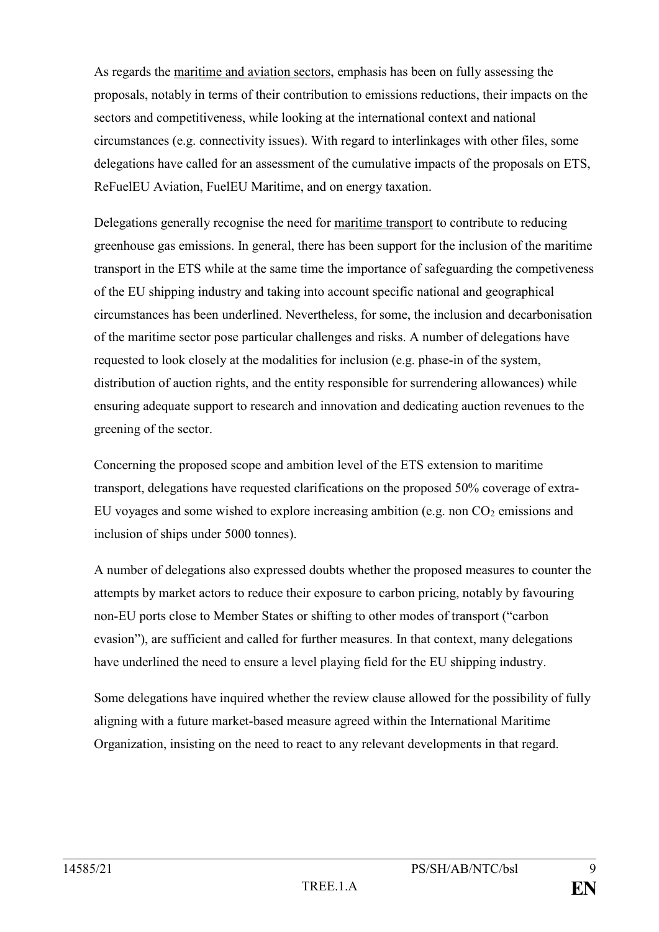As regards the maritime and aviation sectors, emphasis has been on fully assessing the proposals, notably in terms of their contribution to emissions reductions, their impacts on the sectors and competitiveness, while looking at the international context and national circumstances (e.g. connectivity issues). With regard to interlinkages with other files, some delegations have called for an assessment of the cumulative impacts of the proposals on ETS, ReFuelEU Aviation, FuelEU Maritime, and on energy taxation.

Delegations generally recognise the need for maritime transport to contribute to reducing greenhouse gas emissions. In general, there has been support for the inclusion of the maritime transport in the ETS while at the same time the importance of safeguarding the competiveness of the EU shipping industry and taking into account specific national and geographical circumstances has been underlined. Nevertheless, for some, the inclusion and decarbonisation of the maritime sector pose particular challenges and risks. A number of delegations have requested to look closely at the modalities for inclusion (e.g. phase-in of the system, distribution of auction rights, and the entity responsible for surrendering allowances) while ensuring adequate support to research and innovation and dedicating auction revenues to the greening of the sector.

Concerning the proposed scope and ambition level of the ETS extension to maritime transport, delegations have requested clarifications on the proposed 50% coverage of extra-EU voyages and some wished to explore increasing ambition (e.g. non  $CO<sub>2</sub>$  emissions and inclusion of ships under 5000 tonnes).

A number of delegations also expressed doubts whether the proposed measures to counter the attempts by market actors to reduce their exposure to carbon pricing, notably by favouring non-EU ports close to Member States or shifting to other modes of transport ("carbon evasion"), are sufficient and called for further measures. In that context, many delegations have underlined the need to ensure a level playing field for the EU shipping industry.

Some delegations have inquired whether the review clause allowed for the possibility of fully aligning with a future market-based measure agreed within the International Maritime Organization, insisting on the need to react to any relevant developments in that regard.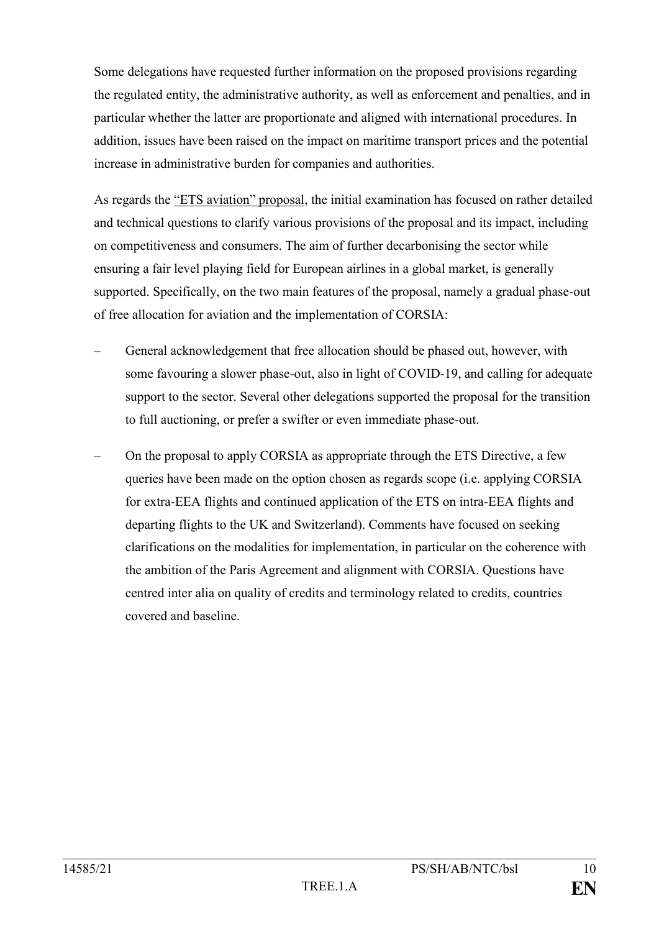Some delegations have requested further information on the proposed provisions regarding the regulated entity, the administrative authority, as well as enforcement and penalties, and in particular whether the latter are proportionate and aligned with international procedures. In addition, issues have been raised on the impact on maritime transport prices and the potential increase in administrative burden for companies and authorities.

As regards the "ETS aviation" proposal, the initial examination has focused on rather detailed and technical questions to clarify various provisions of the proposal and its impact, including on competitiveness and consumers. The aim of further decarbonising the sector while ensuring a fair level playing field for European airlines in a global market, is generally supported. Specifically, on the two main features of the proposal, namely a gradual phase-out of free allocation for aviation and the implementation of CORSIA:

- General acknowledgement that free allocation should be phased out, however, with some favouring a slower phase-out, also in light of COVID-19, and calling for adequate support to the sector. Several other delegations supported the proposal for the transition to full auctioning, or prefer a swifter or even immediate phase-out.
- On the proposal to apply CORSIA as appropriate through the ETS Directive, a few queries have been made on the option chosen as regards scope (i.e. applying CORSIA for extra-EEA flights and continued application of the ETS on intra-EEA flights and departing flights to the UK and Switzerland). Comments have focused on seeking clarifications on the modalities for implementation, in particular on the coherence with the ambition of the Paris Agreement and alignment with CORSIA. Questions have centred inter alia on quality of credits and terminology related to credits, countries covered and baseline.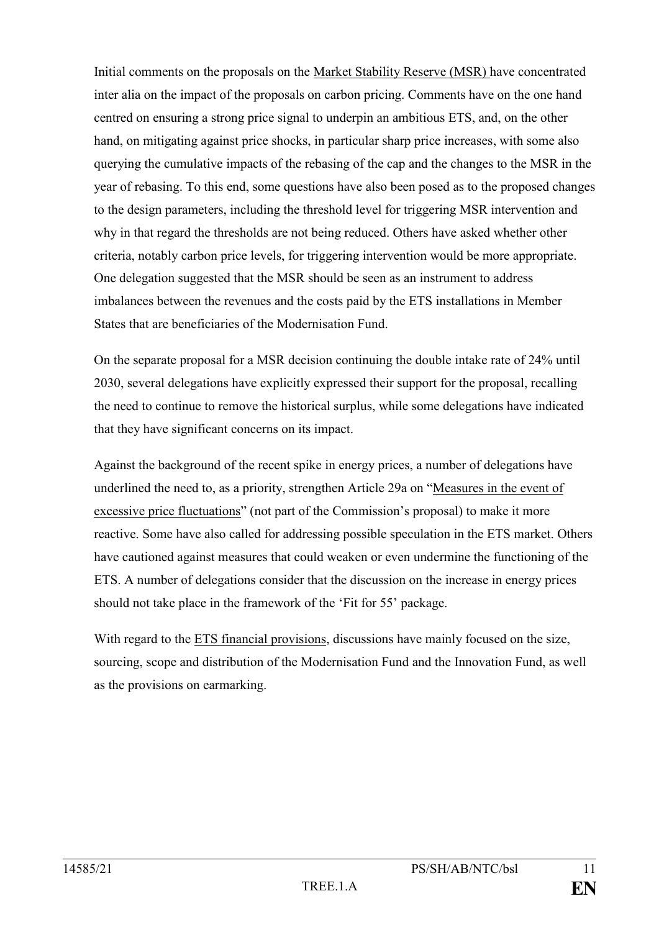Initial comments on the proposals on the Market Stability Reserve (MSR) have concentrated inter alia on the impact of the proposals on carbon pricing. Comments have on the one hand centred on ensuring a strong price signal to underpin an ambitious ETS, and, on the other hand, on mitigating against price shocks, in particular sharp price increases, with some also querying the cumulative impacts of the rebasing of the cap and the changes to the MSR in the year of rebasing. To this end, some questions have also been posed as to the proposed changes to the design parameters, including the threshold level for triggering MSR intervention and why in that regard the thresholds are not being reduced. Others have asked whether other criteria, notably carbon price levels, for triggering intervention would be more appropriate. One delegation suggested that the MSR should be seen as an instrument to address imbalances between the revenues and the costs paid by the ETS installations in Member States that are beneficiaries of the Modernisation Fund.

On the separate proposal for a MSR decision continuing the double intake rate of 24% until 2030, several delegations have explicitly expressed their support for the proposal, recalling the need to continue to remove the historical surplus, while some delegations have indicated that they have significant concerns on its impact.

Against the background of the recent spike in energy prices, a number of delegations have underlined the need to, as a priority, strengthen Article 29a on "Measures in the event of excessive price fluctuations" (not part of the Commission's proposal) to make it more reactive. Some have also called for addressing possible speculation in the ETS market. Others have cautioned against measures that could weaken or even undermine the functioning of the ETS. A number of delegations consider that the discussion on the increase in energy prices should not take place in the framework of the 'Fit for 55' package.

With regard to the ETS financial provisions, discussions have mainly focused on the size, sourcing, scope and distribution of the Modernisation Fund and the Innovation Fund, as well as the provisions on earmarking.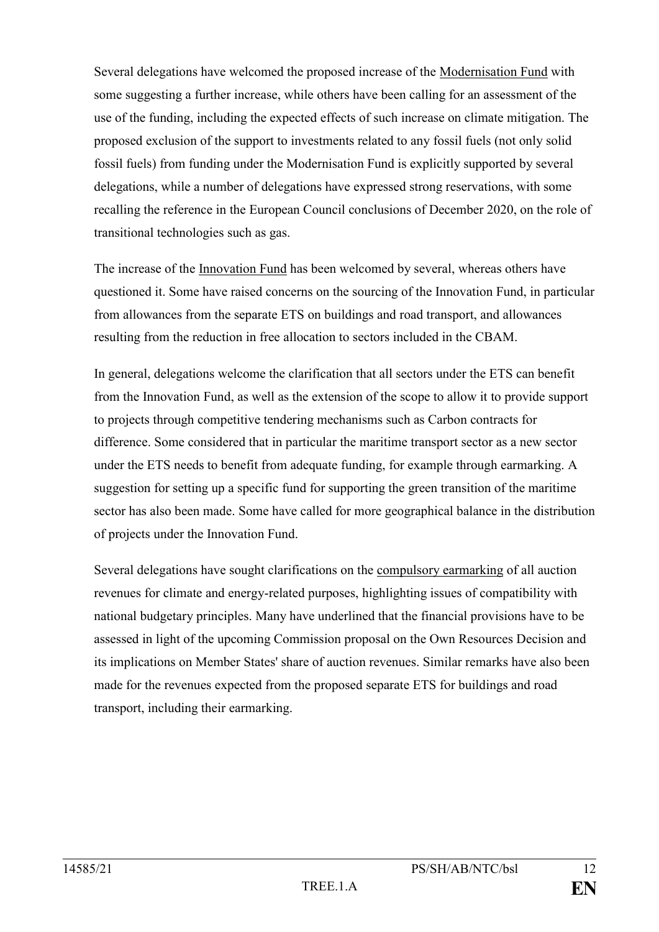Several delegations have welcomed the proposed increase of the Modernisation Fund with some suggesting a further increase, while others have been calling for an assessment of the use of the funding, including the expected effects of such increase on climate mitigation. The proposed exclusion of the support to investments related to any fossil fuels (not only solid fossil fuels) from funding under the Modernisation Fund is explicitly supported by several delegations, while a number of delegations have expressed strong reservations, with some recalling the reference in the European Council conclusions of December 2020, on the role of transitional technologies such as gas.

The increase of the Innovation Fund has been welcomed by several, whereas others have questioned it. Some have raised concerns on the sourcing of the Innovation Fund, in particular from allowances from the separate ETS on buildings and road transport, and allowances resulting from the reduction in free allocation to sectors included in the CBAM.

In general, delegations welcome the clarification that all sectors under the ETS can benefit from the Innovation Fund, as well as the extension of the scope to allow it to provide support to projects through competitive tendering mechanisms such as Carbon contracts for difference. Some considered that in particular the maritime transport sector as a new sector under the ETS needs to benefit from adequate funding, for example through earmarking. A suggestion for setting up a specific fund for supporting the green transition of the maritime sector has also been made. Some have called for more geographical balance in the distribution of projects under the Innovation Fund.

Several delegations have sought clarifications on the compulsory earmarking of all auction revenues for climate and energy-related purposes, highlighting issues of compatibility with national budgetary principles. Many have underlined that the financial provisions have to be assessed in light of the upcoming Commission proposal on the Own Resources Decision and its implications on Member States' share of auction revenues. Similar remarks have also been made for the revenues expected from the proposed separate ETS for buildings and road transport, including their earmarking.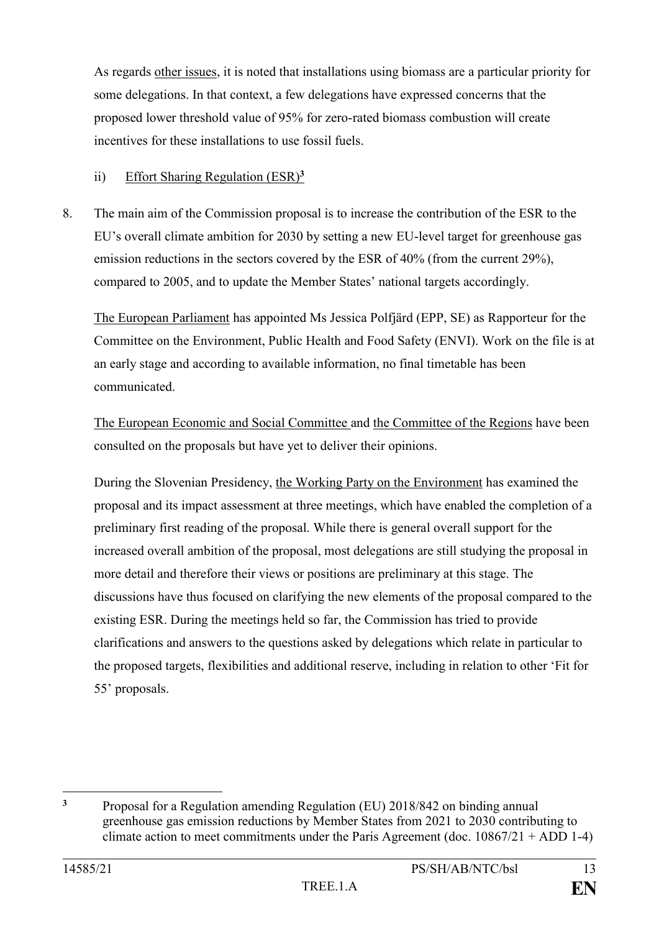As regards other issues, it is noted that installations using biomass are a particular priority for some delegations. In that context, a few delegations have expressed concerns that the proposed lower threshold value of 95% for zero-rated biomass combustion will create incentives for these installations to use fossil fuels.

# ii) Effort Sharing Regulation (ESR)**<sup>3</sup>**

8. The main aim of the Commission proposal is to increase the contribution of the ESR to the EU's overall climate ambition for 2030 by setting a new EU-level target for greenhouse gas emission reductions in the sectors covered by the ESR of 40% (from the current 29%), compared to 2005, and to update the Member States' national targets accordingly.

The European Parliament has appointed Ms Jessica Polfjärd (EPP, SE) as Rapporteur for the Committee on the Environment, Public Health and Food Safety (ENVI). Work on the file is at an early stage and according to available information, no final timetable has been communicated.

The European Economic and Social Committee and the Committee of the Regions have been consulted on the proposals but have yet to deliver their opinions.

During the Slovenian Presidency, the Working Party on the Environment has examined the proposal and its impact assessment at three meetings, which have enabled the completion of a preliminary first reading of the proposal. While there is general overall support for the increased overall ambition of the proposal, most delegations are still studying the proposal in more detail and therefore their views or positions are preliminary at this stage. The discussions have thus focused on clarifying the new elements of the proposal compared to the existing ESR. During the meetings held so far, the Commission has tried to provide clarifications and answers to the questions asked by delegations which relate in particular to the proposed targets, flexibilities and additional reserve, including in relation to other 'Fit for 55' proposals.

1

**<sup>3</sup>** Proposal for a Regulation amending Regulation (EU) 2018/842 on binding annual greenhouse gas emission reductions by Member States from 2021 to 2030 contributing to climate action to meet commitments under the Paris Agreement (doc.  $10867/21 + ADD 1-4$ )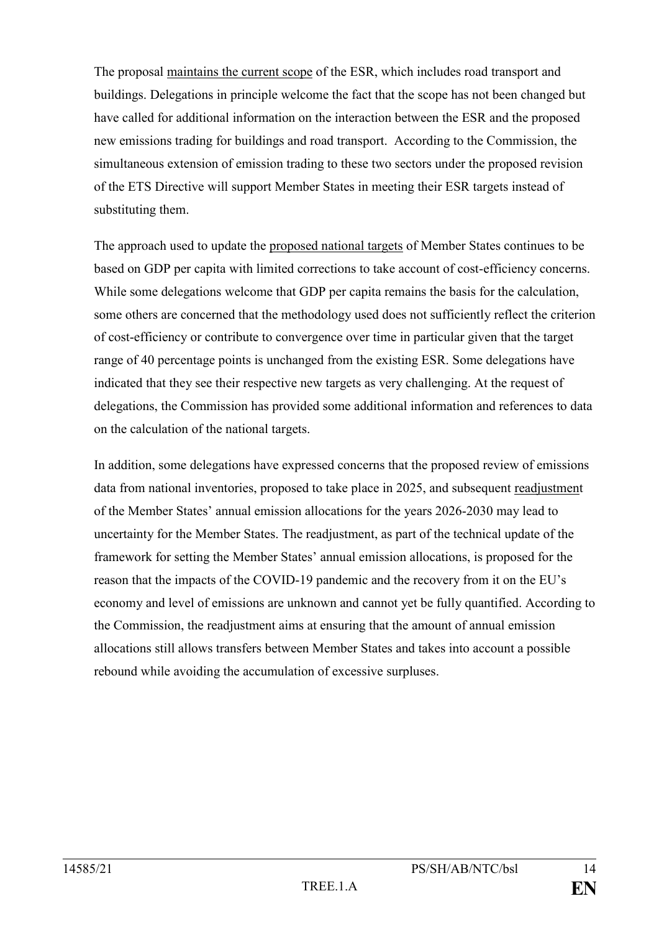The proposal maintains the current scope of the ESR, which includes road transport and buildings. Delegations in principle welcome the fact that the scope has not been changed but have called for additional information on the interaction between the ESR and the proposed new emissions trading for buildings and road transport. According to the Commission, the simultaneous extension of emission trading to these two sectors under the proposed revision of the ETS Directive will support Member States in meeting their ESR targets instead of substituting them.

The approach used to update the proposed national targets of Member States continues to be based on GDP per capita with limited corrections to take account of cost-efficiency concerns. While some delegations welcome that GDP per capita remains the basis for the calculation, some others are concerned that the methodology used does not sufficiently reflect the criterion of cost-efficiency or contribute to convergence over time in particular given that the target range of 40 percentage points is unchanged from the existing ESR. Some delegations have indicated that they see their respective new targets as very challenging. At the request of delegations, the Commission has provided some additional information and references to data on the calculation of the national targets.

In addition, some delegations have expressed concerns that the proposed review of emissions data from national inventories, proposed to take place in 2025, and subsequent readjustment of the Member States' annual emission allocations for the years 2026-2030 may lead to uncertainty for the Member States. The readjustment, as part of the technical update of the framework for setting the Member States' annual emission allocations, is proposed for the reason that the impacts of the COVID-19 pandemic and the recovery from it on the EU's economy and level of emissions are unknown and cannot yet be fully quantified. According to the Commission, the readjustment aims at ensuring that the amount of annual emission allocations still allows transfers between Member States and takes into account a possible rebound while avoiding the accumulation of excessive surpluses.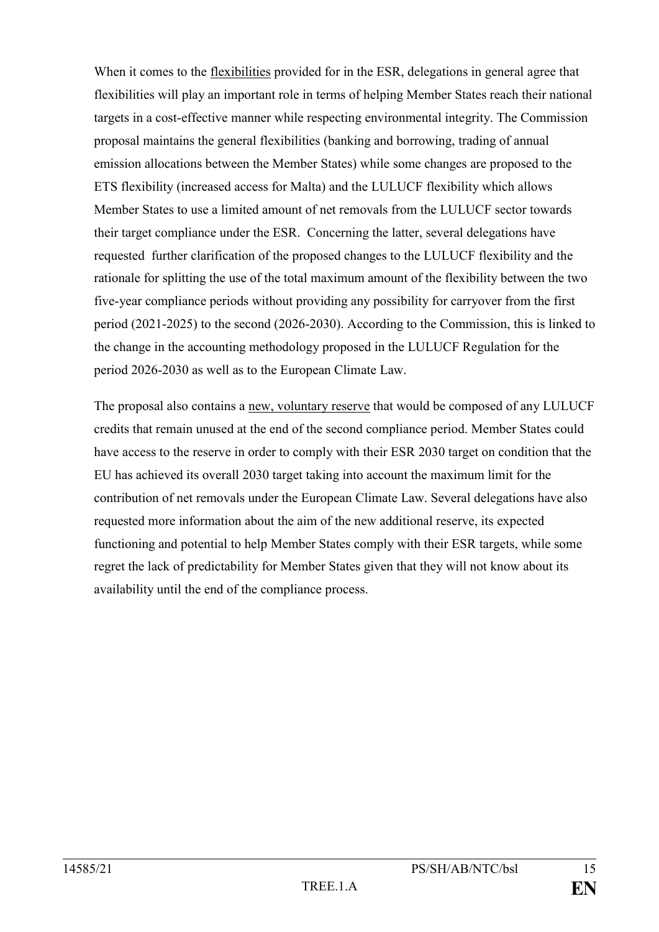When it comes to the flexibilities provided for in the ESR, delegations in general agree that flexibilities will play an important role in terms of helping Member States reach their national targets in a cost-effective manner while respecting environmental integrity. The Commission proposal maintains the general flexibilities (banking and borrowing, trading of annual emission allocations between the Member States) while some changes are proposed to the ETS flexibility (increased access for Malta) and the LULUCF flexibility which allows Member States to use a limited amount of net removals from the LULUCF sector towards their target compliance under the ESR. Concerning the latter, several delegations have requested further clarification of the proposed changes to the LULUCF flexibility and the rationale for splitting the use of the total maximum amount of the flexibility between the two five-year compliance periods without providing any possibility for carryover from the first period (2021-2025) to the second (2026-2030). According to the Commission, this is linked to the change in the accounting methodology proposed in the LULUCF Regulation for the period 2026-2030 as well as to the European Climate Law.

The proposal also contains a new, voluntary reserve that would be composed of any LULUCF credits that remain unused at the end of the second compliance period. Member States could have access to the reserve in order to comply with their ESR 2030 target on condition that the EU has achieved its overall 2030 target taking into account the maximum limit for the contribution of net removals under the European Climate Law. Several delegations have also requested more information about the aim of the new additional reserve, its expected functioning and potential to help Member States comply with their ESR targets, while some regret the lack of predictability for Member States given that they will not know about its availability until the end of the compliance process.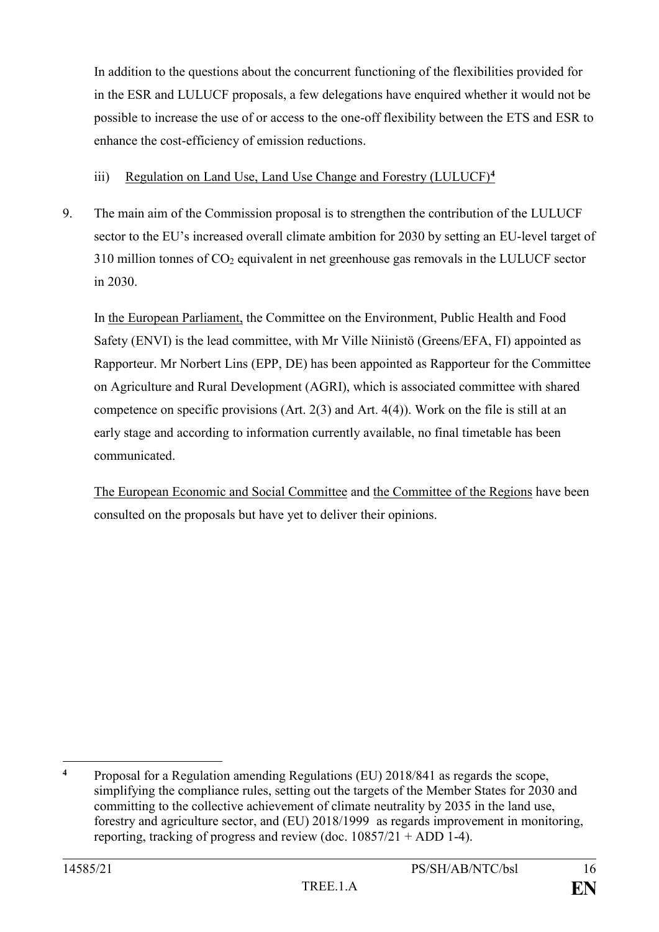In addition to the questions about the concurrent functioning of the flexibilities provided for in the ESR and LULUCF proposals, a few delegations have enquired whether it would not be possible to increase the use of or access to the one-off flexibility between the ETS and ESR to enhance the cost-efficiency of emission reductions.

## iii) Regulation on Land Use, Land Use Change and Forestry (LULUCF)**<sup>4</sup>**

9. The main aim of the Commission proposal is to strengthen the contribution of the LULUCF sector to the EU's increased overall climate ambition for 2030 by setting an EU-level target of 310 million tonnes of CO<sup>2</sup> equivalent in net greenhouse gas removals in the LULUCF sector in 2030.

In the European Parliament, the Committee on the Environment, Public Health and Food Safety (ENVI) is the lead committee, with Mr Ville Niinistö (Greens/EFA, FI) appointed as Rapporteur. Mr Norbert Lins (EPP, DE) has been appointed as Rapporteur for the Committee on Agriculture and Rural Development (AGRI), which is associated committee with shared competence on specific provisions  $(Art. 2(3)$  and  $Art. 4(4))$ . Work on the file is still at an early stage and according to information currently available, no final timetable has been communicated.

The European Economic and Social Committee and the Committee of the Regions have been consulted on the proposals but have yet to deliver their opinions.

1

**<sup>4</sup>** Proposal for a Regulation amending Regulations (EU) 2018/841 as regards the scope, simplifying the compliance rules, setting out the targets of the Member States for 2030 and committing to the collective achievement of climate neutrality by 2035 in the land use, forestry and agriculture sector, and (EU) 2018/1999 as regards improvement in monitoring, reporting, tracking of progress and review (doc.  $10857/21 + ADD 1-4$ ).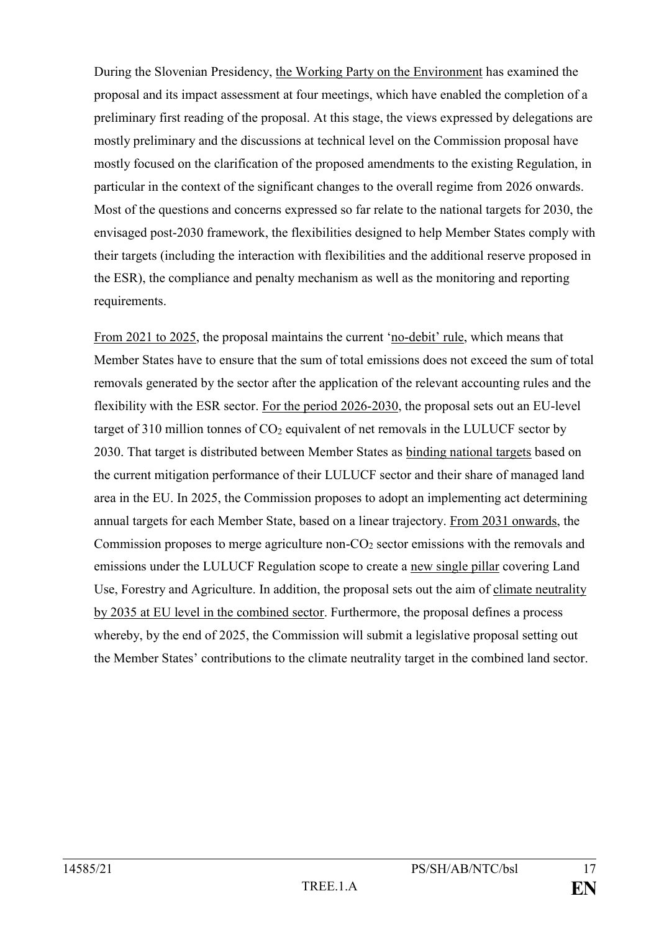During the Slovenian Presidency, the Working Party on the Environment has examined the proposal and its impact assessment at four meetings, which have enabled the completion of a preliminary first reading of the proposal. At this stage, the views expressed by delegations are mostly preliminary and the discussions at technical level on the Commission proposal have mostly focused on the clarification of the proposed amendments to the existing Regulation, in particular in the context of the significant changes to the overall regime from 2026 onwards. Most of the questions and concerns expressed so far relate to the national targets for 2030, the envisaged post-2030 framework, the flexibilities designed to help Member States comply with their targets (including the interaction with flexibilities and the additional reserve proposed in the ESR), the compliance and penalty mechanism as well as the monitoring and reporting requirements.

From 2021 to 2025, the proposal maintains the current 'no-debit' rule, which means that Member States have to ensure that the sum of total emissions does not exceed the sum of total removals generated by the sector after the application of the relevant accounting rules and the flexibility with the ESR sector. For the period 2026-2030, the proposal sets out an EU-level target of 310 million tonnes of  $CO<sub>2</sub>$  equivalent of net removals in the LULUCF sector by 2030. That target is distributed between Member States as binding national targets based on the current mitigation performance of their LULUCF sector and their share of managed land area in the EU. In 2025, the Commission proposes to adopt an implementing act determining annual targets for each Member State, based on a linear trajectory. From 2031 onwards, the Commission proposes to merge agriculture non-CO<sub>2</sub> sector emissions with the removals and emissions under the LULUCF Regulation scope to create a new single pillar covering Land Use, Forestry and Agriculture. In addition, the proposal sets out the aim of climate neutrality by 2035 at EU level in the combined sector. Furthermore, the proposal defines a process whereby, by the end of 2025, the Commission will submit a legislative proposal setting out the Member States' contributions to the climate neutrality target in the combined land sector.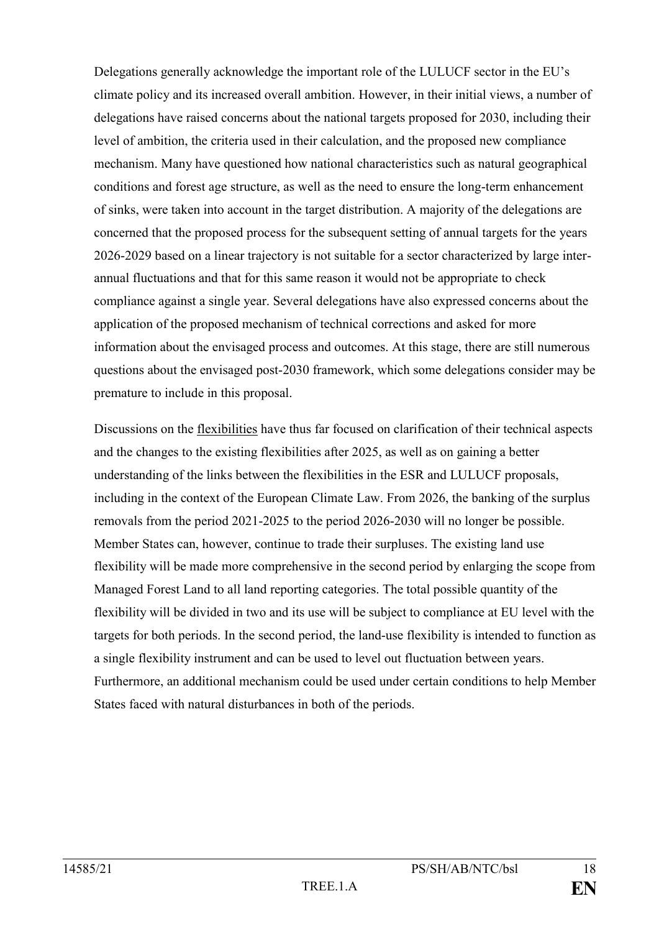Delegations generally acknowledge the important role of the LULUCF sector in the EU's climate policy and its increased overall ambition. However, in their initial views, a number of delegations have raised concerns about the national targets proposed for 2030, including their level of ambition, the criteria used in their calculation, and the proposed new compliance mechanism. Many have questioned how national characteristics such as natural geographical conditions and forest age structure, as well as the need to ensure the long-term enhancement of sinks, were taken into account in the target distribution. A majority of the delegations are concerned that the proposed process for the subsequent setting of annual targets for the years 2026-2029 based on a linear trajectory is not suitable for a sector characterized by large interannual fluctuations and that for this same reason it would not be appropriate to check compliance against a single year. Several delegations have also expressed concerns about the application of the proposed mechanism of technical corrections and asked for more information about the envisaged process and outcomes. At this stage, there are still numerous questions about the envisaged post-2030 framework, which some delegations consider may be premature to include in this proposal.

Discussions on the flexibilities have thus far focused on clarification of their technical aspects and the changes to the existing flexibilities after 2025, as well as on gaining a better understanding of the links between the flexibilities in the ESR and LULUCF proposals, including in the context of the European Climate Law. From 2026, the banking of the surplus removals from the period 2021-2025 to the period 2026-2030 will no longer be possible. Member States can, however, continue to trade their surpluses. The existing land use flexibility will be made more comprehensive in the second period by enlarging the scope from Managed Forest Land to all land reporting categories. The total possible quantity of the flexibility will be divided in two and its use will be subject to compliance at EU level with the targets for both periods. In the second period, the land-use flexibility is intended to function as a single flexibility instrument and can be used to level out fluctuation between years. Furthermore, an additional mechanism could be used under certain conditions to help Member States faced with natural disturbances in both of the periods.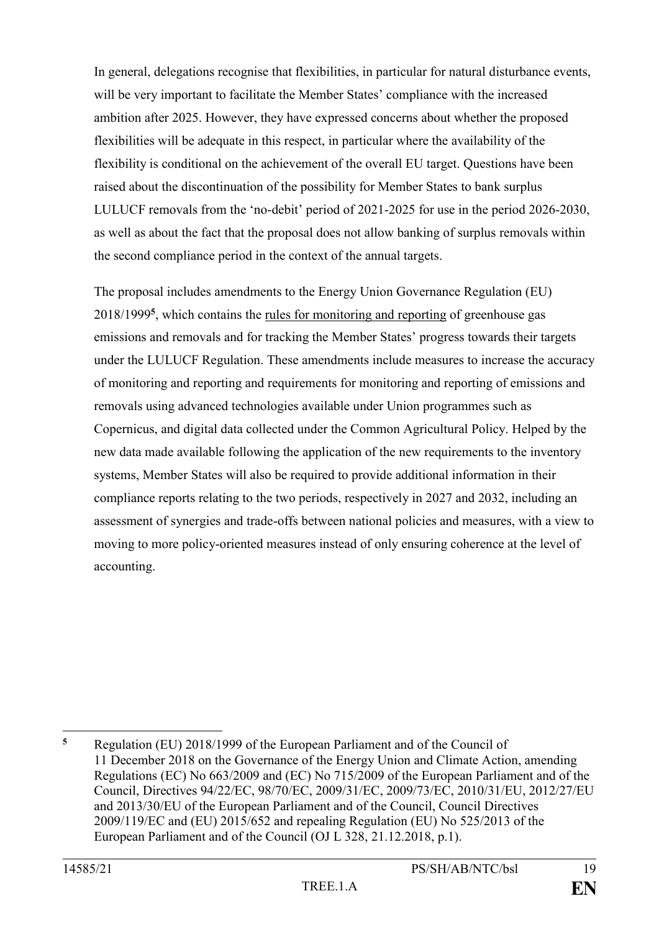In general, delegations recognise that flexibilities, in particular for natural disturbance events, will be very important to facilitate the Member States' compliance with the increased ambition after 2025. However, they have expressed concerns about whether the proposed flexibilities will be adequate in this respect, in particular where the availability of the flexibility is conditional on the achievement of the overall EU target. Questions have been raised about the discontinuation of the possibility for Member States to bank surplus LULUCF removals from the 'no-debit' period of 2021-2025 for use in the period 2026-2030, as well as about the fact that the proposal does not allow banking of surplus removals within the second compliance period in the context of the annual targets.

The proposal includes amendments to the Energy Union Governance Regulation (EU) 2018/1999**<sup>5</sup>** , which contains the rules for monitoring and reporting of greenhouse gas emissions and removals and for tracking the Member States' progress towards their targets under the LULUCF Regulation. These amendments include measures to increase the accuracy of monitoring and reporting and requirements for monitoring and reporting of emissions and removals using advanced technologies available under Union programmes such as Copernicus, and digital data collected under the Common Agricultural Policy. Helped by the new data made available following the application of the new requirements to the inventory systems, Member States will also be required to provide additional information in their compliance reports relating to the two periods, respectively in 2027 and 2032, including an assessment of synergies and trade-offs between national policies and measures, with a view to moving to more policy-oriented measures instead of only ensuring coherence at the level of accounting.

<u>.</u>

**<sup>5</sup>** Regulation (EU) 2018/1999 of the European Parliament and of the Council of 11 December 2018 on the Governance of the Energy Union and Climate Action, amending Regulations (EC) No 663/2009 and (EC) No 715/2009 of the European Parliament and of the Council, Directives 94/22/EC, 98/70/EC, 2009/31/EC, 2009/73/EC, 2010/31/EU, 2012/27/EU and 2013/30/EU of the European Parliament and of the Council, Council Directives 2009/119/EC and (EU) 2015/652 and repealing Regulation (EU) No 525/2013 of the European Parliament and of the Council (OJ L 328, 21.12.2018, p.1).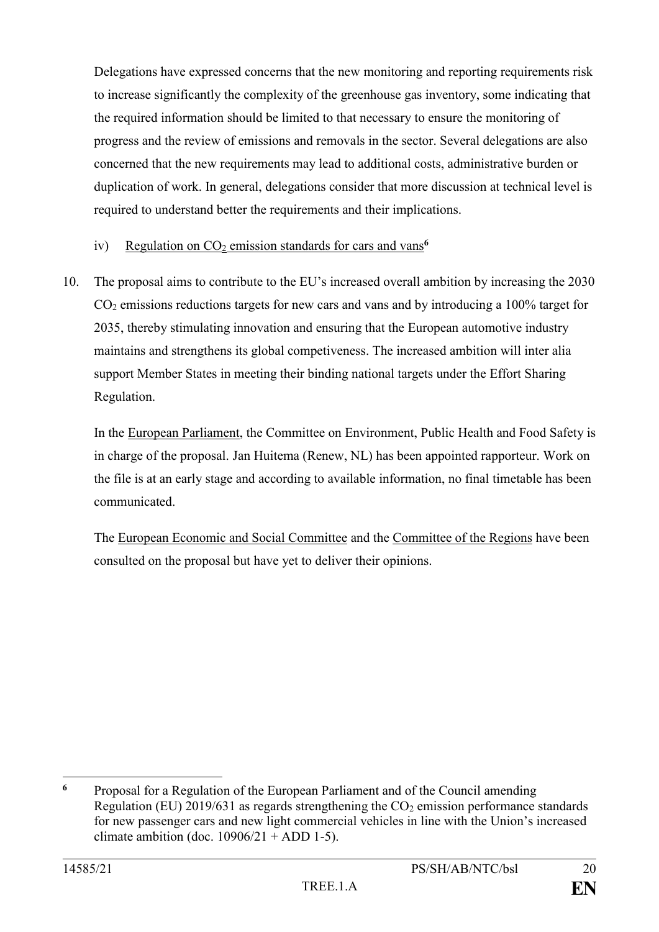Delegations have expressed concerns that the new monitoring and reporting requirements risk to increase significantly the complexity of the greenhouse gas inventory, some indicating that the required information should be limited to that necessary to ensure the monitoring of progress and the review of emissions and removals in the sector. Several delegations are also concerned that the new requirements may lead to additional costs, administrative burden or duplication of work. In general, delegations consider that more discussion at technical level is required to understand better the requirements and their implications.

### iv) Regulation on CO<sub>2</sub> emission standards for cars and vans<sup>6</sup>

10. The proposal aims to contribute to the EU's increased overall ambition by increasing the 2030 CO<sup>2</sup> emissions reductions targets for new cars and vans and by introducing a 100% target for 2035, thereby stimulating innovation and ensuring that the European automotive industry maintains and strengthens its global competiveness. The increased ambition will inter alia support Member States in meeting their binding national targets under the Effort Sharing Regulation.

In the European Parliament, the Committee on Environment, Public Health and Food Safety is in charge of the proposal. Jan Huitema (Renew, NL) has been appointed rapporteur. Work on the file is at an early stage and according to available information, no final timetable has been communicated.

The European Economic and Social Committee and the Committee of the Regions have been consulted on the proposal but have yet to deliver their opinions.

<sup>1</sup> **<sup>6</sup>** Proposal for a Regulation of the European Parliament and of the Council amending Regulation (EU) 2019/631 as regards strengthening the  $CO<sub>2</sub>$  emission performance standards for new passenger cars and new light commercial vehicles in line with the Union's increased climate ambition (doc.  $10906/21 + ADD 1-5$ ).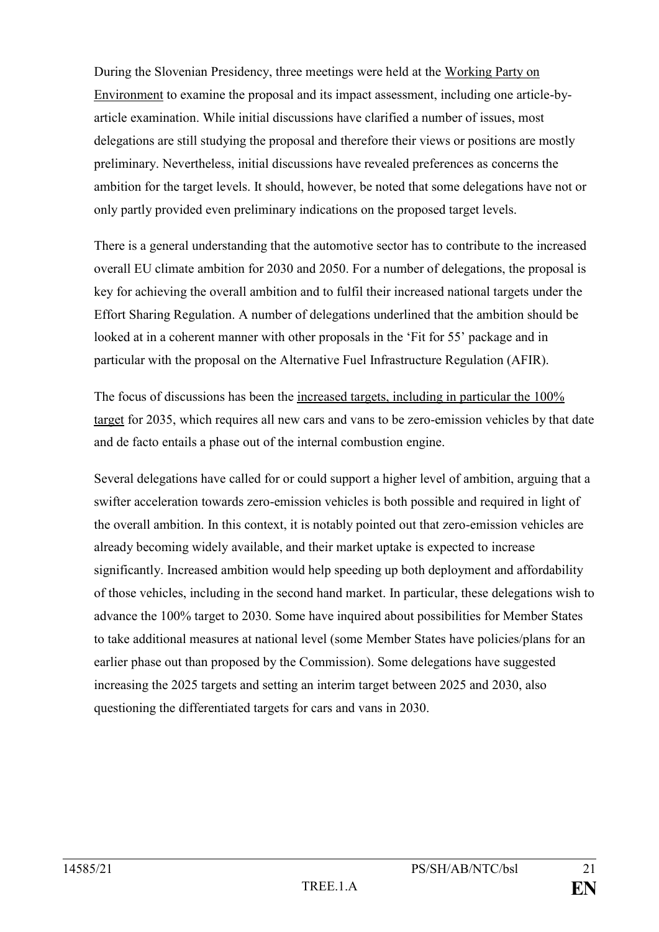During the Slovenian Presidency, three meetings were held at the Working Party on Environment to examine the proposal and its impact assessment, including one article-byarticle examination. While initial discussions have clarified a number of issues, most delegations are still studying the proposal and therefore their views or positions are mostly preliminary. Nevertheless, initial discussions have revealed preferences as concerns the ambition for the target levels. It should, however, be noted that some delegations have not or only partly provided even preliminary indications on the proposed target levels.

There is a general understanding that the automotive sector has to contribute to the increased overall EU climate ambition for 2030 and 2050. For a number of delegations, the proposal is key for achieving the overall ambition and to fulfil their increased national targets under the Effort Sharing Regulation. A number of delegations underlined that the ambition should be looked at in a coherent manner with other proposals in the 'Fit for 55' package and in particular with the proposal on the Alternative Fuel Infrastructure Regulation (AFIR).

The focus of discussions has been the increased targets, including in particular the 100% target for 2035, which requires all new cars and vans to be zero-emission vehicles by that date and de facto entails a phase out of the internal combustion engine.

Several delegations have called for or could support a higher level of ambition, arguing that a swifter acceleration towards zero-emission vehicles is both possible and required in light of the overall ambition. In this context, it is notably pointed out that zero-emission vehicles are already becoming widely available, and their market uptake is expected to increase significantly. Increased ambition would help speeding up both deployment and affordability of those vehicles, including in the second hand market. In particular, these delegations wish to advance the 100% target to 2030. Some have inquired about possibilities for Member States to take additional measures at national level (some Member States have policies/plans for an earlier phase out than proposed by the Commission). Some delegations have suggested increasing the 2025 targets and setting an interim target between 2025 and 2030, also questioning the differentiated targets for cars and vans in 2030.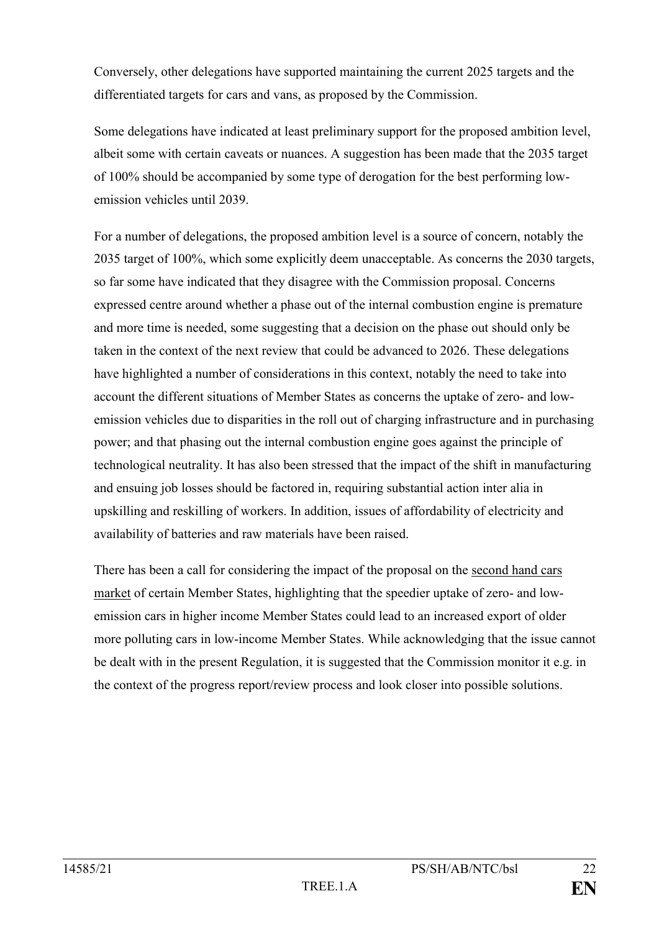Conversely, other delegations have supported maintaining the current 2025 targets and the differentiated targets for cars and vans, as proposed by the Commission.

Some delegations have indicated at least preliminary support for the proposed ambition level, albeit some with certain caveats or nuances. A suggestion has been made that the 2035 target of 100% should be accompanied by some type of derogation for the best performing lowemission vehicles until 2039.

For a number of delegations, the proposed ambition level is a source of concern, notably the 2035 target of 100%, which some explicitly deem unacceptable. As concerns the 2030 targets, so far some have indicated that they disagree with the Commission proposal. Concerns expressed centre around whether a phase out of the internal combustion engine is premature and more time is needed, some suggesting that a decision on the phase out should only be taken in the context of the next review that could be advanced to 2026. These delegations have highlighted a number of considerations in this context, notably the need to take into account the different situations of Member States as concerns the uptake of zero- and lowemission vehicles due to disparities in the roll out of charging infrastructure and in purchasing power; and that phasing out the internal combustion engine goes against the principle of technological neutrality. It has also been stressed that the impact of the shift in manufacturing and ensuing job losses should be factored in, requiring substantial action inter alia in upskilling and reskilling of workers. In addition, issues of affordability of electricity and availability of batteries and raw materials have been raised.

There has been a call for considering the impact of the proposal on the second hand cars market of certain Member States, highlighting that the speedier uptake of zero- and lowemission cars in higher income Member States could lead to an increased export of older more polluting cars in low-income Member States. While acknowledging that the issue cannot be dealt with in the present Regulation, it is suggested that the Commission monitor it e.g. in the context of the progress report/review process and look closer into possible solutions.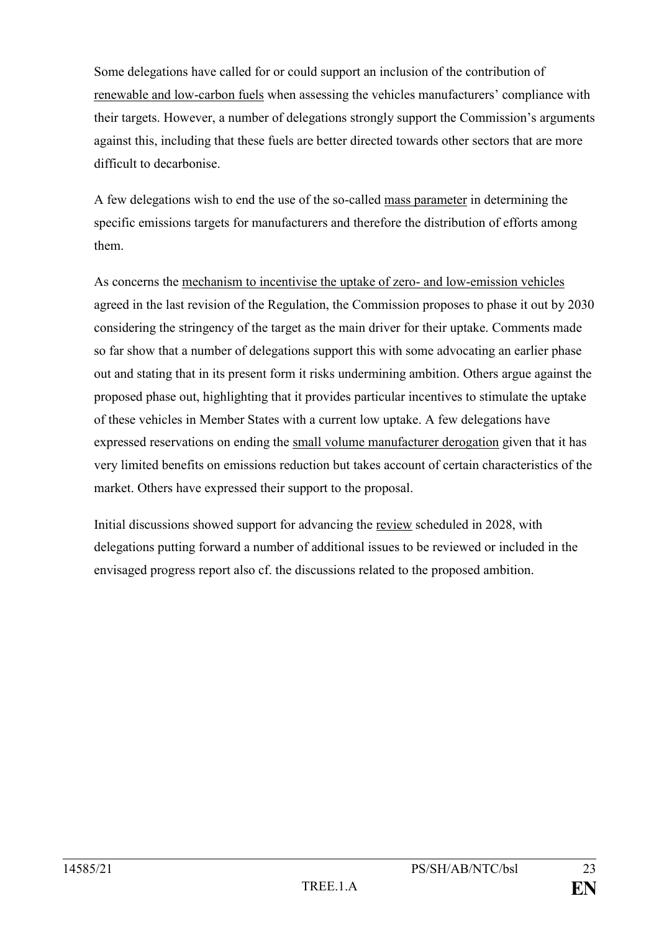Some delegations have called for or could support an inclusion of the contribution of renewable and low-carbon fuels when assessing the vehicles manufacturers' compliance with their targets. However, a number of delegations strongly support the Commission's arguments against this, including that these fuels are better directed towards other sectors that are more difficult to decarbonise.

A few delegations wish to end the use of the so-called mass parameter in determining the specific emissions targets for manufacturers and therefore the distribution of efforts among them.

As concerns the mechanism to incentivise the uptake of zero- and low-emission vehicles agreed in the last revision of the Regulation, the Commission proposes to phase it out by 2030 considering the stringency of the target as the main driver for their uptake. Comments made so far show that a number of delegations support this with some advocating an earlier phase out and stating that in its present form it risks undermining ambition. Others argue against the proposed phase out, highlighting that it provides particular incentives to stimulate the uptake of these vehicles in Member States with a current low uptake. A few delegations have expressed reservations on ending the small volume manufacturer derogation given that it has very limited benefits on emissions reduction but takes account of certain characteristics of the market. Others have expressed their support to the proposal.

Initial discussions showed support for advancing the review scheduled in 2028, with delegations putting forward a number of additional issues to be reviewed or included in the envisaged progress report also cf. the discussions related to the proposed ambition.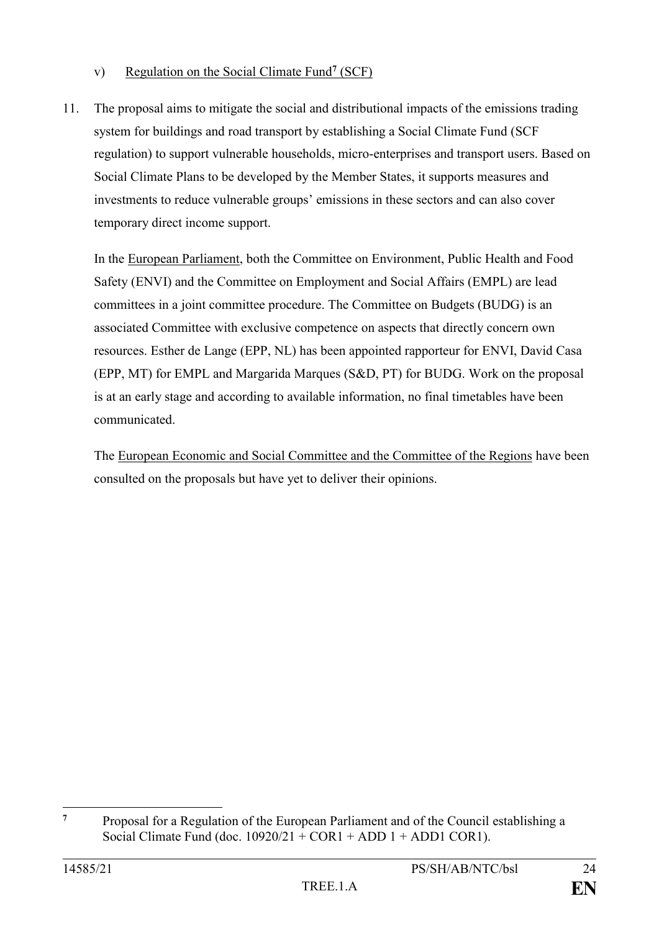### v) Regulation on the Social Climate Fund**<sup>7</sup>** (SCF)

11. The proposal aims to mitigate the social and distributional impacts of the emissions trading system for buildings and road transport by establishing a Social Climate Fund (SCF regulation) to support vulnerable households, micro-enterprises and transport users. Based on Social Climate Plans to be developed by the Member States, it supports measures and investments to reduce vulnerable groups' emissions in these sectors and can also cover temporary direct income support.

In the European Parliament, both the Committee on Environment, Public Health and Food Safety (ENVI) and the Committee on Employment and Social Affairs (EMPL) are lead committees in a joint committee procedure. The Committee on Budgets (BUDG) is an associated Committee with exclusive competence on aspects that directly concern own resources. Esther de Lange (EPP, NL) has been appointed rapporteur for ENVI, David Casa (EPP, MT) for EMPL and Margarida Marques (S&D, PT) for BUDG. Work on the proposal is at an early stage and according to available information, no final timetables have been communicated.

The European Economic and Social Committee and the Committee of the Regions have been consulted on the proposals but have yet to deliver their opinions.

 $\overline{7}$ **<sup>7</sup>** Proposal for a Regulation of the European Parliament and of the Council establishing a Social Climate Fund (doc.  $10920/21 + COR1 + ADD1 + ADD1 CON1$ ).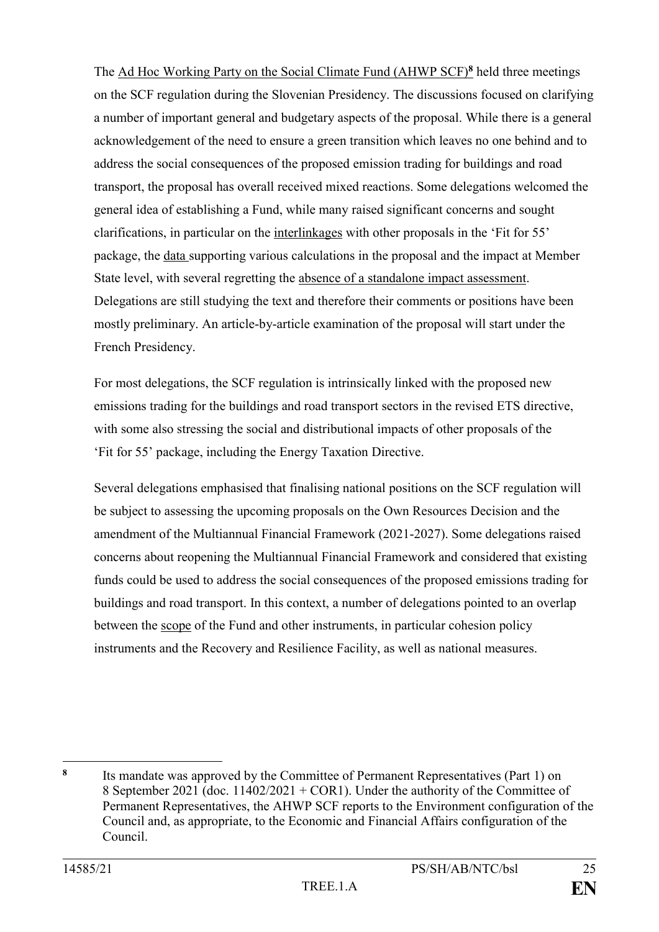The Ad Hoc Working Party on the Social Climate Fund (AHWP SCF)**<sup>8</sup>** held three meetings on the SCF regulation during the Slovenian Presidency. The discussions focused on clarifying a number of important general and budgetary aspects of the proposal. While there is a general acknowledgement of the need to ensure a green transition which leaves no one behind and to address the social consequences of the proposed emission trading for buildings and road transport, the proposal has overall received mixed reactions. Some delegations welcomed the general idea of establishing a Fund, while many raised significant concerns and sought clarifications, in particular on the interlinkages with other proposals in the 'Fit for 55' package, the data supporting various calculations in the proposal and the impact at Member State level, with several regretting the absence of a standalone impact assessment. Delegations are still studying the text and therefore their comments or positions have been mostly preliminary. An article-by-article examination of the proposal will start under the French Presidency.

For most delegations, the SCF regulation is intrinsically linked with the proposed new emissions trading for the buildings and road transport sectors in the revised ETS directive, with some also stressing the social and distributional impacts of other proposals of the 'Fit for 55' package, including the Energy Taxation Directive.

Several delegations emphasised that finalising national positions on the SCF regulation will be subject to assessing the upcoming proposals on the Own Resources Decision and the amendment of the Multiannual Financial Framework (2021-2027). Some delegations raised concerns about reopening the Multiannual Financial Framework and considered that existing funds could be used to address the social consequences of the proposed emissions trading for buildings and road transport. In this context, a number of delegations pointed to an overlap between the scope of the Fund and other instruments, in particular cohesion policy instruments and the Recovery and Resilience Facility, as well as national measures.

<sup>1</sup> **8**

Its mandate was approved by the Committee of Permanent Representatives (Part 1) on 8 September 2021 (doc. 11402/2021 + COR1). Under the authority of the Committee of Permanent Representatives, the AHWP SCF reports to the Environment configuration of the Council and, as appropriate, to the Economic and Financial Affairs configuration of the Council.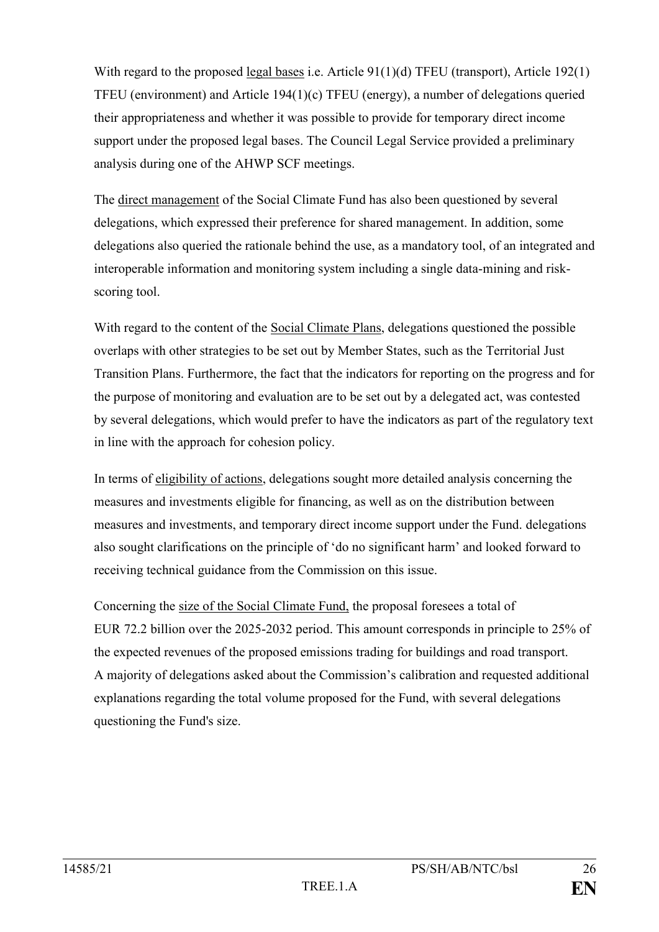With regard to the proposed legal bases i.e. Article 91(1)(d) TFEU (transport), Article 192(1) TFEU (environment) and Article 194(1)(c) TFEU (energy), a number of delegations queried their appropriateness and whether it was possible to provide for temporary direct income support under the proposed legal bases. The Council Legal Service provided a preliminary analysis during one of the AHWP SCF meetings.

The direct management of the Social Climate Fund has also been questioned by several delegations, which expressed their preference for shared management. In addition, some delegations also queried the rationale behind the use, as a mandatory tool, of an integrated and interoperable information and monitoring system including a single data-mining and riskscoring tool.

With regard to the content of the Social Climate Plans, delegations questioned the possible overlaps with other strategies to be set out by Member States, such as the Territorial Just Transition Plans. Furthermore, the fact that the indicators for reporting on the progress and for the purpose of monitoring and evaluation are to be set out by a delegated act, was contested by several delegations, which would prefer to have the indicators as part of the regulatory text in line with the approach for cohesion policy.

In terms of eligibility of actions, delegations sought more detailed analysis concerning the measures and investments eligible for financing, as well as on the distribution between measures and investments, and temporary direct income support under the Fund. delegations also sought clarifications on the principle of 'do no significant harm' and looked forward to receiving technical guidance from the Commission on this issue.

Concerning the size of the Social Climate Fund, the proposal foresees a total of EUR 72.2 billion over the 2025-2032 period. This amount corresponds in principle to 25% of the expected revenues of the proposed emissions trading for buildings and road transport. A majority of delegations asked about the Commission's calibration and requested additional explanations regarding the total volume proposed for the Fund, with several delegations questioning the Fund's size.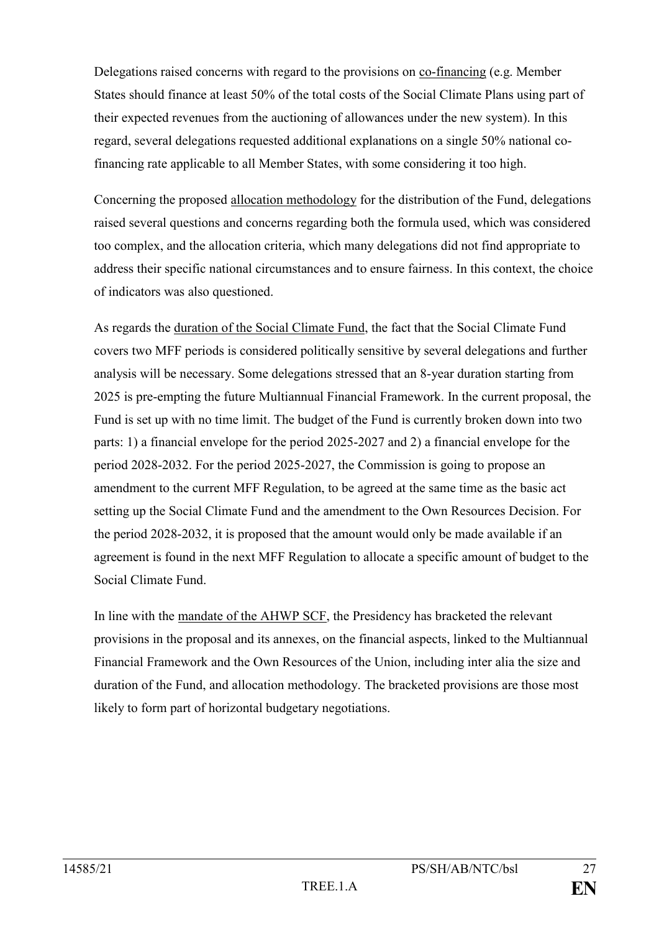Delegations raised concerns with regard to the provisions on co-financing (e.g. Member States should finance at least 50% of the total costs of the Social Climate Plans using part of their expected revenues from the auctioning of allowances under the new system). In this regard, several delegations requested additional explanations on a single 50% national cofinancing rate applicable to all Member States, with some considering it too high.

Concerning the proposed allocation methodology for the distribution of the Fund, delegations raised several questions and concerns regarding both the formula used, which was considered too complex, and the allocation criteria, which many delegations did not find appropriate to address their specific national circumstances and to ensure fairness. In this context, the choice of indicators was also questioned.

As regards the duration of the Social Climate Fund, the fact that the Social Climate Fund covers two MFF periods is considered politically sensitive by several delegations and further analysis will be necessary. Some delegations stressed that an 8-year duration starting from 2025 is pre-empting the future Multiannual Financial Framework. In the current proposal, the Fund is set up with no time limit. The budget of the Fund is currently broken down into two parts: 1) a financial envelope for the period 2025-2027 and 2) a financial envelope for the period 2028-2032. For the period 2025-2027, the Commission is going to propose an amendment to the current MFF Regulation, to be agreed at the same time as the basic act setting up the Social Climate Fund and the amendment to the Own Resources Decision. For the period 2028-2032, it is proposed that the amount would only be made available if an agreement is found in the next MFF Regulation to allocate a specific amount of budget to the Social Climate Fund.

In line with the mandate of the AHWP SCF, the Presidency has bracketed the relevant provisions in the proposal and its annexes, on the financial aspects, linked to the Multiannual Financial Framework and the Own Resources of the Union, including inter alia the size and duration of the Fund, and allocation methodology. The bracketed provisions are those most likely to form part of horizontal budgetary negotiations.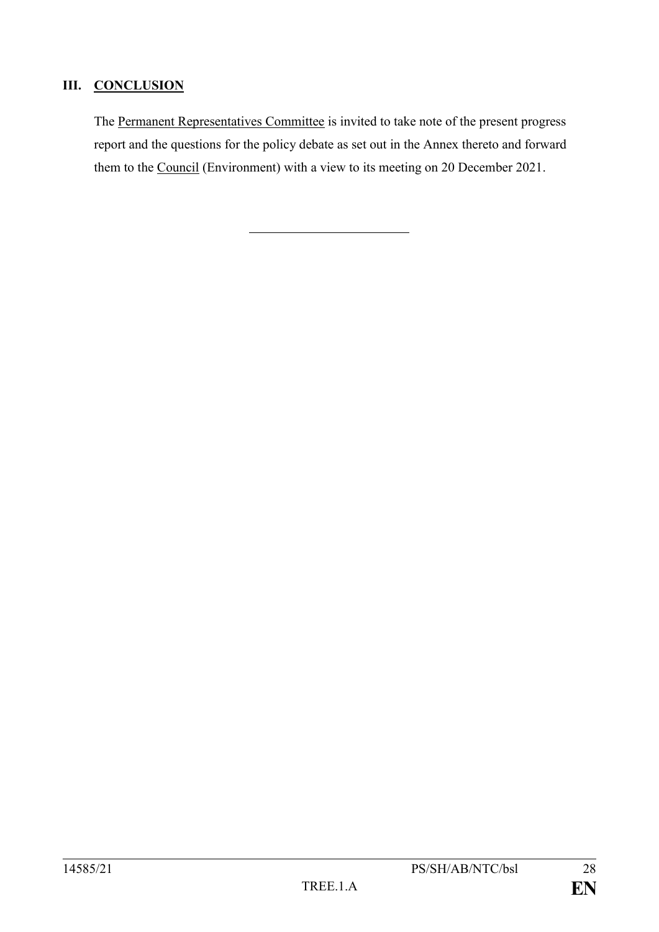# **III. CONCLUSION**

The Permanent Representatives Committee is invited to take note of the present progress report and the questions for the policy debate as set out in the Annex thereto and forward them to the Council (Environment) with a view to its meeting on 20 December 2021.